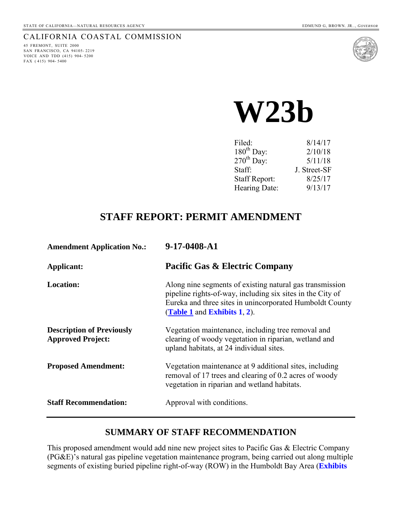## CALIFORNIA COASTAL COMMISSION

45 FREMONT, SUITE 2000 SAN FRANCISCO, CA 94105- 2219 VOICE AND TDD (415) 904- 5200 FAX ( 415) 904- 5400



**W23b** 

| 8/14/17      |
|--------------|
| 2/10/18      |
| 5/11/18      |
| J. Street-SF |
| 8/25/17      |
| 9/13/17      |
|              |

## **STAFF REPORT: PERMIT AMENDMENT**

| <b>Amendment Application No.:</b>                            | 9-17-0408-A1                                                                                                                                                                                                          |
|--------------------------------------------------------------|-----------------------------------------------------------------------------------------------------------------------------------------------------------------------------------------------------------------------|
| Applicant:                                                   | <b>Pacific Gas &amp; Electric Company</b>                                                                                                                                                                             |
| <b>Location:</b>                                             | Along nine segments of existing natural gas transmission<br>pipeline rights-of-way, including six sites in the City of<br>Eureka and three sites in unincorporated Humboldt County<br>(Table 1 and Exhibits $1, 2$ ). |
| <b>Description of Previously</b><br><b>Approved Project:</b> | Vegetation maintenance, including tree removal and<br>clearing of woody vegetation in riparian, wetland and<br>upland habitats, at 24 individual sites.                                                               |
| <b>Proposed Amendment:</b>                                   | Vegetation maintenance at 9 additional sites, including<br>removal of 17 trees and clearing of 0.2 acres of woody<br>vegetation in riparian and wetland habitats.                                                     |
| <b>Staff Recommendation:</b>                                 | Approval with conditions.                                                                                                                                                                                             |

## **SUMMARY OF STAFF RECOMMENDATION**

This proposed amendment would add nine new project sites to Pacific Gas & Electric Company (PG&E)'s natural gas pipeline vegetation maintenance program, being carried out along multiple segments of existing buried pipeline right-of-way (ROW) in the Humboldt Bay Area (**[Exhibits](https://documents.coastal.ca.gov/reports/2017/9/w23b/w23b-9-2017-exhibits.pdf)**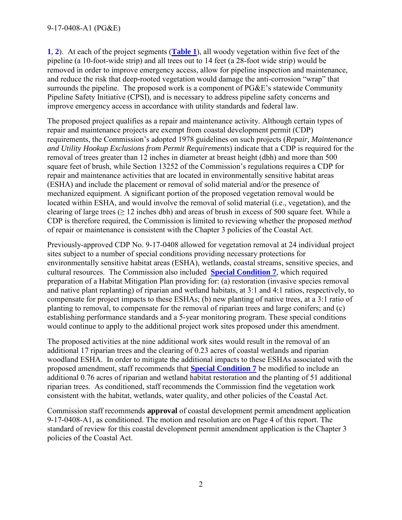**[1](https://documents.coastal.ca.gov/reports/2017/9/w23b/w23b-9-2017-exhibits.pdf)**, **2**). At each of the project segments (**[Table 1](#page-5-0)**), all woody vegetation within five feet of the pipeline (a 10-foot-wide strip) and all trees out to 14 feet (a 28-foot wide strip) would be removed in order to improve emergency access, allow for pipeline inspection and maintenance, and reduce the risk that deep-rooted vegetation would damage the anti-corrosion "wrap" that surrounds the pipeline. The proposed work is a component of PG&E's statewide Community Pipeline Safety Initiative (CPSI), and is necessary to address pipeline safety concerns and improve emergency access in accordance with utility standards and federal law.

The proposed project qualifies as a repair and maintenance activity. Although certain types of repair and maintenance projects are exempt from coastal development permit (CDP) requirements, the Commission's adopted 1978 guidelines on such projects (*Repair, Maintenance and Utility Hookup Exclusions from Permit Requirements*) indicate that a CDP is required for the removal of trees greater than 12 inches in diameter at breast height (dbh) and more than 500 square feet of brush, while Section 13252 of the Commission's regulations requires a CDP for repair and maintenance activities that are located in environmentally sensitive habitat areas (ESHA) and include the placement or removal of solid material and/or the presence of mechanized equipment. A significant portion of the proposed vegetation removal would be located within ESHA, and would involve the removal of solid material (i.e., vegetation), and the clearing of large trees ( $\geq 12$  inches dbh) and areas of brush in excess of 500 square feet. While a CDP is therefore required, the Commission is limited to reviewing whether the proposed *method*  of repair or maintenance is consistent with the Chapter 3 policies of the Coastal Act.

Previously-approved CDP No. 9-17-0408 allowed for vegetation removal at 24 individual project sites subject to a number of special conditions providing necessary protections for environmentally sensitive habitat areas (ESHA), wetlands, coastal streams, sensitive species, and cultural resources. The Commission also included **[Special Condition 7](#page-20-0)**, which required preparation of a Habitat Mitigation Plan providing for: (a) restoration (invasive species removal and native plant replanting) of riparian and wetland habitats, at 3:1 and 4:1 ratios, respectively, to compensate for project impacts to these ESHAs; (b) new planting of native trees, at a 3:1 ratio of planting to removal, to compensate for the removal of riparian trees and large conifers; and (c) establishing performance standards and a 5-year monitoring program. These special conditions would continue to apply to the additional project work sites proposed under this amendment.

The proposed activities at the nine additional work sites would result in the removal of an additional 17 riparian trees and the clearing of 0.23 acres of coastal wetlands and riparian woodland ESHA. In order to mitigate the additional impacts to these ESHAs associated with the proposed amendment, staff recommends that **[Special Condition 7](#page-3-0)** be modified to include an additional 0.76 acres of riparian and wetland habitat restoration and the planting of 51 additional riparian trees. As conditioned, staff recommends the Commission find the vegetation work consistent with the habitat, wetlands, water quality, and other policies of the Coastal Act.

Commission staff recommends **approval** of coastal development permit amendment application 9-17-0408-A1, as conditioned. The motion and resolution are on Page 4 of this report. The standard of review for this coastal development permit amendment application is the Chapter 3 policies of the Coastal Act.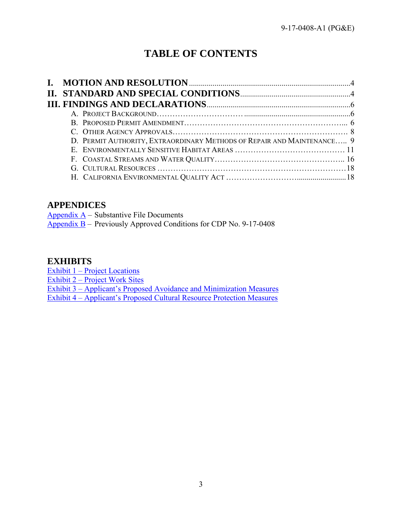# **TABLE OF CONTENTS**

| D. PERMIT AUTHORITY, EXTRAORDINARY METHODS OF REPAIR AND MAINTENANCE 9 |  |
|------------------------------------------------------------------------|--|
|                                                                        |  |
|                                                                        |  |
|                                                                        |  |
|                                                                        |  |

## **APPENDICES**

Appendix  $A$  – Substantive File Documents

 $\overline{Appendix B}$  $\overline{Appendix B}$  $\overline{Appendix B}$  – Previously Approved Conditions for CDP No. 9-17-0408

## **EXHIBITS**

Exhibit 1 – Project Locations

Exhibit 2 – Project Work Sites

[Exhibit 3 – Applicant's Proposed Avoidance and Minimization Measures](https://documents.coastal.ca.gov/reports/2017/9/w23b/w23b-9-2017-exhibits.pdf) 

Exhibit 4 – Applicant's Proposed Cultural Resource Protection Measures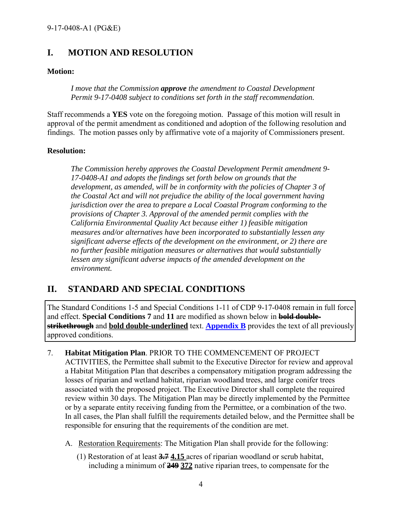## <span id="page-3-1"></span>**I. MOTION AND RESOLUTION**

## **Motion:**

*I move that the Commission approve the amendment to Coastal Development Permit 9-17-0408 subject to conditions set forth in the staff recommendation.* 

Staff recommends a **YES** vote on the foregoing motion. Passage of this motion will result in approval of the permit amendment as conditioned and adoption of the following resolution and findings. The motion passes only by affirmative vote of a majority of Commissioners present.

## **Resolution:**

*The Commission hereby approves the Coastal Development Permit amendment 9- 17-0408-A1 and adopts the findings set forth below on grounds that the development, as amended, will be in conformity with the policies of Chapter 3 of the Coastal Act and will not prejudice the ability of the local government having jurisdiction over the area to prepare a Local Coastal Program conforming to the provisions of Chapter 3. Approval of the amended permit complies with the California Environmental Quality Act because either 1) feasible mitigation measures and/or alternatives have been incorporated to substantially lessen any significant adverse effects of the development on the environment, or 2) there are no further feasible mitigation measures or alternatives that would substantially lessen any significant adverse impacts of the amended development on the environment.* 

## <span id="page-3-2"></span>**II. STANDARD AND SPECIAL CONDITIONS**

The Standard Conditions 1-5 and Special Conditions 1-11 of CDP 9-17-0408 remain in full force and effect. **Special Conditions 7** and **11** are modified as shown below in **bold doublestrikethrough** and **bold double-underlined** text. **[Appendix B](#page-20-0)** provides the text of all previously approved conditions.

- <span id="page-3-0"></span>7. **Habitat Mitigation Plan**. PRIOR TO THE COMMENCEMENT OF PROJECT ACTIVITIES, the Permittee shall submit to the Executive Director for review and approval a Habitat Mitigation Plan that describes a compensatory mitigation program addressing the losses of riparian and wetland habitat, riparian woodland trees, and large conifer trees associated with the proposed project. The Executive Director shall complete the required review within 30 days. The Mitigation Plan may be directly implemented by the Permittee or by a separate entity receiving funding from the Permittee, or a combination of the two. In all cases, the Plan shall fulfill the requirements detailed below, and the Permittee shall be responsible for ensuring that the requirements of the condition are met.
	- A. Restoration Requirements: The Mitigation Plan shall provide for the following:
		- (1) Restoration of at least **3.7 4.15** acres of riparian woodland or scrub habitat, including a minimum of **249 372** native riparian trees, to compensate for the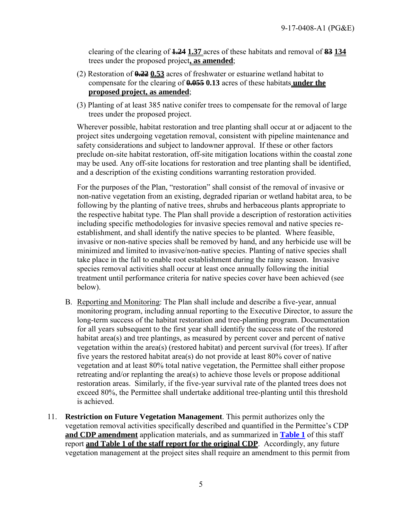clearing of the clearing of **1.24 1.37** acres of these habitats and removal of **83 134** trees under the proposed project**, as amended**;

- (2) Restoration of **0.22 0.53** acres of freshwater or estuarine wetland habitat to compensate for the clearing of **0.055 0.13** acres of these habitats **under the proposed project, as amended**;
- (3) Planting of at least 385 native conifer trees to compensate for the removal of large trees under the proposed project.

Wherever possible, habitat restoration and tree planting shall occur at or adjacent to the project sites undergoing vegetation removal, consistent with pipeline maintenance and safety considerations and subject to landowner approval. If these or other factors preclude on-site habitat restoration, off-site mitigation locations within the coastal zone may be used. Any off-site locations for restoration and tree planting shall be identified, and a description of the existing conditions warranting restoration provided.

For the purposes of the Plan, "restoration" shall consist of the removal of invasive or non-native vegetation from an existing, degraded riparian or wetland habitat area, to be following by the planting of native trees, shrubs and herbaceous plants appropriate to the respective habitat type. The Plan shall provide a description of restoration activities including specific methodologies for invasive species removal and native species reestablishment, and shall identify the native species to be planted. Where feasible, invasive or non-native species shall be removed by hand, and any herbicide use will be minimized and limited to invasive/non-native species. Planting of native species shall take place in the fall to enable root establishment during the rainy season. Invasive species removal activities shall occur at least once annually following the initial treatment until performance criteria for native species cover have been achieved (see below).

- B. Reporting and Monitoring: The Plan shall include and describe a five-year, annual monitoring program, including annual reporting to the Executive Director, to assure the long-term success of the habitat restoration and tree-planting program. Documentation for all years subsequent to the first year shall identify the success rate of the restored habitat area(s) and tree plantings, as measured by percent cover and percent of native vegetation within the area(s) (restored habitat) and percent survival (for trees). If after five years the restored habitat area(s) do not provide at least 80% cover of native vegetation and at least 80% total native vegetation, the Permittee shall either propose retreating and/or replanting the area(s) to achieve those levels or propose additional restoration areas. Similarly, if the five-year survival rate of the planted trees does not exceed 80%, the Permittee shall undertake additional tree-planting until this threshold is achieved.
- <span id="page-4-0"></span>11. **Restriction on Future Vegetation Management**. This permit authorizes only the vegetation removal activities specifically described and quantified in the Permittee's CDP **and CDP amendment** application materials, and as summarized in **[Table 1](#page-5-0)** of this staff report **and Table 1 of the staff report for the original CDP**. Accordingly, any future vegetation management at the project sites shall require an amendment to this permit from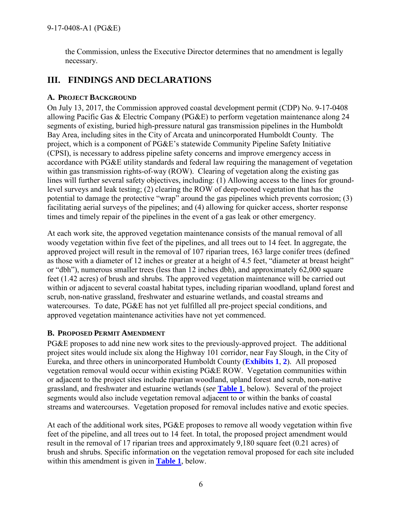the Commission, unless the Executive Director determines that no amendment is legally necessary.

## <span id="page-5-1"></span>**III. FINDINGS AND DECLARATIONS**

## <span id="page-5-2"></span>**A. PROJECT BACKGROUND**

On July 13, 2017, the Commission approved coastal development permit (CDP) No. 9-17-0408 allowing Pacific Gas & Electric Company (PG&E) to perform vegetation maintenance along 24 segments of existing, buried high-pressure natural gas transmission pipelines in the Humboldt Bay Area, including sites in the City of Arcata and unincorporated Humboldt County. The project, which is a component of PG&E's statewide Community Pipeline Safety Initiative (CPSI), is necessary to address pipeline safety concerns and improve emergency access in accordance with PG&E utility standards and federal law requiring the management of vegetation within gas transmission rights-of-way (ROW). Clearing of vegetation along the existing gas lines will further several safety objectives, including: (1) Allowing access to the lines for groundlevel surveys and leak testing; (2) clearing the ROW of deep-rooted vegetation that has the potential to damage the protective "wrap" around the gas pipelines which prevents corrosion; (3) facilitating aerial surveys of the pipelines; and (4) allowing for quicker access, shorter response times and timely repair of the pipelines in the event of a gas leak or other emergency.

At each work site, the approved vegetation maintenance consists of the manual removal of all woody vegetation within five feet of the pipelines, and all trees out to 14 feet. In aggregate, the approved project will result in the removal of 107 riparian trees, 163 large conifer trees (defined as those with a diameter of 12 inches or greater at a height of 4.5 feet, "diameter at breast height" or "dbh"), numerous smaller trees (less than 12 inches dbh), and approximately 62,000 square feet (1.42 acres) of brush and shrubs. The approved vegetation maintenance will be carried out within or adjacent to several coastal habitat types, including riparian woodland, upland forest and scrub, non-native grassland, freshwater and estuarine wetlands, and coastal streams and watercourses. To date, PG&E has not yet fulfilled all pre-project special conditions, and approved vegetation maintenance activities have not yet commenced.

## **B. PROPOSED PERMIT AMENDMENT**

PG&E proposes to add nine new work sites to the previously-approved project. The additional project sites would include six along the Highway 101 corridor, near Fay Slough, in the City of Eureka, and three others in unincorporated Humboldt County (**[Exhibits 1](https://documents.coastal.ca.gov/reports/2017/9/w23b/w23b-9-2017-exhibits.pdf)**, **2**). All proposed vegetation removal would occur within existing PG&E ROW. Vegetation communities within or adjacent to the project sites include riparian woodland, upland forest and scrub, non-native grassland, and freshwater and estuarine wetlands (*see* **[Table 1](#page-5-0)**, below). Several of the project segments would also include vegetation removal adjacent to or within the banks of coastal streams and watercourses. Vegetation proposed for removal includes native and exotic species.

<span id="page-5-0"></span>At each of the additional work sites, PG&E proposes to remove all woody vegetation within five feet of the pipeline, and all trees out to 14 feet. In total, the proposed project amendment would result in the removal of 17 riparian trees and approximately 9,180 square feet (0.21 acres) of brush and shrubs. Specific information on the vegetation removal proposed for each site included within this amendment is given in **[Table 1](#page-5-0)**, below.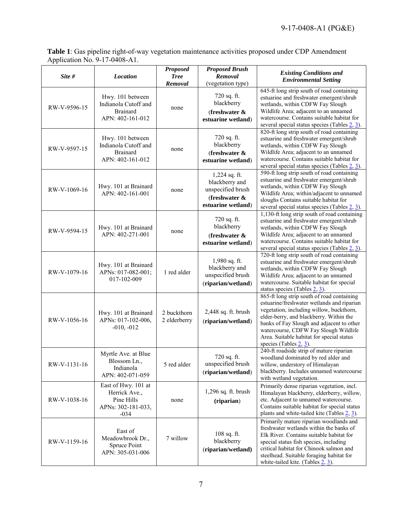**Table 1**: Gas pipeline right-of-way vegetation maintenance activities proposed under CDP Amendment Application No. 9-17-0408-A1.

| Site #       | <b>Location</b>                                                                    | <b>Proposed</b><br><b>Tree</b><br>Removal | <b>Proposed Brush</b><br>Removal<br>(vegetation type)                                          | <b>Existing Conditions and</b><br><b>Environmental Setting</b>                                                                                                                                                                                                                                                                                  |
|--------------|------------------------------------------------------------------------------------|-------------------------------------------|------------------------------------------------------------------------------------------------|-------------------------------------------------------------------------------------------------------------------------------------------------------------------------------------------------------------------------------------------------------------------------------------------------------------------------------------------------|
| RW-V-9596-15 | Hwy. 101 between<br>Indianola Cutoff and<br><b>Brainard</b><br>APN: 402-161-012    | none                                      | 720 sq. ft.<br>blackberry<br>(freshwater $\&$<br>estuarine wetland)                            | 645-ft long strip south of road containing<br>estuarine and freshwater emergent/shrub<br>wetlands, within CDFW Fay Slough<br>Wildlife Area; adjacent to an unnamed<br>watercourse. Contains suitable habitat for<br>several special status species (Tables $2, 3$ ).                                                                            |
| RW-V-9597-15 | Hwy. 101 between<br>Indianola Cutoff and<br><b>Brainard</b><br>APN: 402-161-012    | none                                      | 720 sq. ft.<br>blackberry<br>(freshwater $\&$<br>estuarine wetland)                            | 820-ft long strip south of road containing<br>estuarine and freshwater emergent/shrub<br>wetlands, within CDFW Fay Slough<br>Wildlife Area; adjacent to an unnamed<br>watercourse. Contains suitable habitat for<br>several special status species (Tables $2, 3$ ).                                                                            |
| RW-V-1069-16 | Hwy. 101 at Brainard<br>APN: 402-161-001                                           | none                                      | 1,224 sq. ft.<br>blackberry and<br>unspecified brush<br>(freshwater $\&$<br>estuarine wetland) | 590-ft long strip south of road containing<br>estuarine and freshwater emergent/shrub<br>wetlands, within CDFW Fay Slough<br>Wildlife Area; within/adjacent to unnamed<br>sloughs Contains suitable habitat for<br>several special status species (Tables $2, 3$ ).                                                                             |
| RW-V-9594-15 | Hwy. 101 at Brainard<br>APN: 402-271-001                                           | none                                      | 720 sq. ft.<br>blackberry<br>(freshwater &<br>estuarine wetland)                               | 1,130-ft long strip south of road containing<br>estuarine and freshwater emergent/shrub<br>wetlands, within CDFW Fay Slough<br>Wildlife Area; adjacent to an unnamed<br>watercourse. Contains suitable habitat for<br>several special status species (Tables $2, 3$ ).                                                                          |
| RW-V-1079-16 | Hwy. 101 at Brainard<br>APNs: 017-082-001;<br>017-102-009                          | 1 red alder                               | 1,980 sq. ft.<br>blackberry and<br>unspecified brush<br>(riparian/wetland)                     | 720-ft long strip south of road containing<br>estuarine and freshwater emergent/shrub<br>wetlands, within CDFW Fay Slough<br>Wildlife Area; adjacent to an unnamed<br>watercourse. Suitable habitat for special<br>status species (Tables $2, 3$ ).                                                                                             |
| RW-V-1056-16 | Hwy. 101 at Brainard<br>APNs: 017-102-006,<br>$-010, -012$                         | 2 buckthorn<br>2 elderberry               | 2,448 sq. ft. brush<br>(riparian/wetland)                                                      | 865-ft long strip south of road containing<br>estuarine/freshwater wetlands and riparian<br>vegetation, including willow, buckthorn,<br>elder-berry, and blackberry. Within the<br>banks of Fay Slough and adjacent to other<br>watercourse, CDFW Fay Slough Wildlife<br>Area. Suitable habitat for special status<br>species (Tables $2, 3$ ). |
| RW-V-1131-16 | Myrtle Ave. at Blue<br>Blossom Ln.,<br>Indianola<br>APN: 402-071-059               | 5 red alder                               | 720 sq. ft.<br>unspecified brush<br>(riparian/wetland)                                         | 240-ft roadside strip of mature riparian<br>woodland dominated by red alder and<br>willow, understory of Himalayan<br>blackberry. Includes unnamed watercourse<br>with wetland vegetation.                                                                                                                                                      |
| RW-V-1038-16 | East of Hwy. 101 at<br>Herrick Ave.,<br>Pine Hills<br>APNs: 302-181-033,<br>$-034$ | none                                      | 1,296 sq. ft. brush<br>(riparian)                                                              | Primarily dense riparian vegetation, incl.<br>Himalayan blackberry, elderberry, willow,<br>etc. Adjacent to unnamed watercourse.<br>Contains suitable habitat for special status<br>plants and white-tailed kite (Tables $2, 3$ ).                                                                                                              |
| RW-V-1159-16 | East of<br>Meadowbrook Dr.,<br>Spruce Point<br>APN: 305-031-006                    | 7 willow                                  | 108 sq. ft.<br>blackberry<br>(riparian/wetland)                                                | Primarily mature riparian woodlands and<br>freshwater wetlands within the banks of<br>Elk River. Contains suitable habitat for<br>special status fish species, including<br>critical habitat for Chinook salmon and<br>steelhead. Suitable foraging habitat for<br>white-tailed kite. (Tables $\frac{2}{3}$ ).                                  |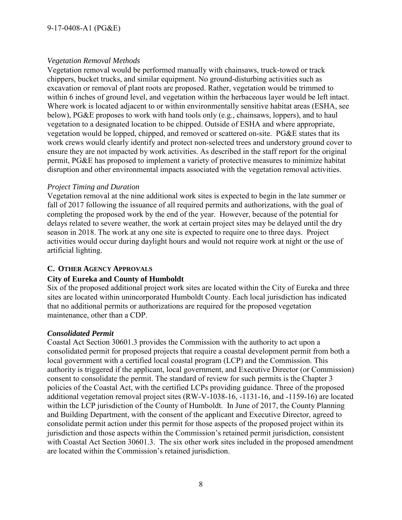#### *Vegetation Removal Methods*

Vegetation removal would be performed manually with chainsaws, truck-towed or track chippers, bucket trucks, and similar equipment. No ground-disturbing activities such as excavation or removal of plant roots are proposed. Rather, vegetation would be trimmed to within 6 inches of ground level, and vegetation within the herbaceous layer would be left intact. Where work is located adjacent to or within environmentally sensitive habitat areas (ESHA, see below), PG&E proposes to work with hand tools only (e.g., chainsaws, loppers), and to haul vegetation to a designated location to be chipped. Outside of ESHA and where appropriate, vegetation would be lopped, chipped, and removed or scattered on-site. PG&E states that its work crews would clearly identify and protect non-selected trees and understory ground cover to ensure they are not impacted by work activities. As described in the staff report for the original permit, PG&E has proposed to implement a variety of protective measures to minimize habitat disruption and other environmental impacts associated with the vegetation removal activities.

#### *Project Timing and Duration*

Vegetation removal at the nine additional work sites is expected to begin in the late summer or fall of 2017 following the issuance of all required permits and authorizations, with the goal of completing the proposed work by the end of the year. However, because of the potential for delays related to severe weather, the work at certain project sites may be delayed until the dry season in 2018. The work at any one site is expected to require one to three days. Project activities would occur during daylight hours and would not require work at night or the use of artificial lighting.

## <span id="page-7-0"></span>**C. OTHER AGENCY APPROVALS**

## **City of Eureka and County of Humboldt**

Six of the proposed additional project work sites are located within the City of Eureka and three sites are located within unincorporated Humboldt County. Each local jurisdiction has indicated that no additional permits or authorizations are required for the proposed vegetation maintenance, other than a CDP.

## *Consolidated Permit*

Coastal Act Section 30601.3 provides the Commission with the authority to act upon a consolidated permit for proposed projects that require a coastal development permit from both a local government with a certified local coastal program (LCP) and the Commission. This authority is triggered if the applicant, local government, and Executive Director (or Commission) consent to consolidate the permit. The standard of review for such permits is the Chapter 3 policies of the Coastal Act, with the certified LCPs providing guidance. Three of the proposed additional vegetation removal project sites (RW-V-1038-16, -1131-16, and -1159-16) are located within the LCP jurisdiction of the County of Humboldt. In June of 2017, the County Planning and Building Department, with the consent of the applicant and Executive Director, agreed to consolidate permit action under this permit for those aspects of the proposed project within its jurisdiction and those aspects within the Commission's retained permit jurisdiction, consistent with Coastal Act Section 30601.3. The six other work sites included in the proposed amendment are located within the Commission's retained jurisdiction.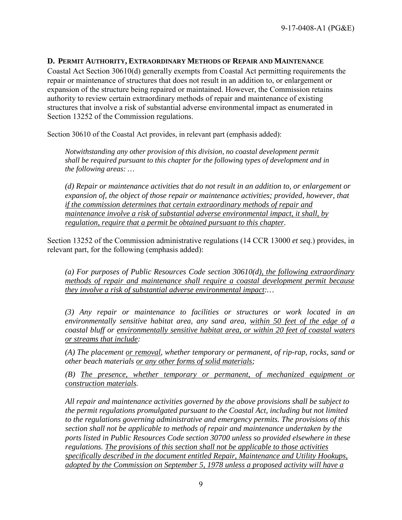### <span id="page-8-0"></span>**D. PERMIT AUTHORITY, EXTRAORDINARY METHODS OF REPAIR AND MAINTENANCE**

Coastal Act Section 30610(d) generally exempts from Coastal Act permitting requirements the repair or maintenance of structures that does not result in an addition to, or enlargement or expansion of the structure being repaired or maintained. However, the Commission retains authority to review certain extraordinary methods of repair and maintenance of existing structures that involve a risk of substantial adverse environmental impact as enumerated in Section 13252 of the Commission regulations.

Section 30610 of the Coastal Act provides, in relevant part (emphasis added):

*Notwithstanding any other provision of this division, no coastal development permit shall be required pursuant to this chapter for the following types of development and in the following areas: …* 

*(d) Repair or maintenance activities that do not result in an addition to, or enlargement or expansion of, the object of those repair or maintenance activities; provided, however, that if the commission determines that certain extraordinary methods of repair and maintenance involve a risk of substantial adverse environmental impact, it shall, by regulation, require that a permit be obtained pursuant to this chapter.*

Section 13252 of the Commission administrative regulations (14 CCR 13000 *et seq*.) provides, in relevant part, for the following (emphasis added):

*(a) For purposes of Public Resources Code section 30610(d), the following extraordinary methods of repair and maintenance shall require a coastal development permit because they involve a risk of substantial adverse environmental impact:…* 

*(3) Any repair or maintenance to facilities or structures or work located in an environmentally sensitive habitat area, any sand area, within 50 feet of the edge of a coastal bluff or environmentally sensitive habitat area, or within 20 feet of coastal waters or streams that include:* 

*(A) The placement or removal, whether temporary or permanent, of rip-rap, rocks, sand or other beach materials or any other forms of solid materials;* 

*(B) The presence, whether temporary or permanent, of mechanized equipment or construction materials.* 

*All repair and maintenance activities governed by the above provisions shall be subject to the permit regulations promulgated pursuant to the Coastal Act, including but not limited to the regulations governing administrative and emergency permits. The provisions of this section shall not be applicable to methods of repair and maintenance undertaken by the ports listed in Public Resources Code section 30700 unless so provided elsewhere in these regulations. The provisions of this section shall not be applicable to those activities specifically described in the document entitled Repair, Maintenance and Utility Hookups, adopted by the Commission on September 5, 1978 unless a proposed activity will have a*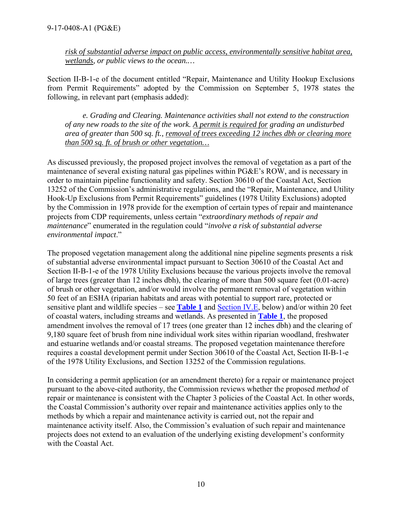*risk of substantial adverse impact on public access, environmentally sensitive habitat area, wetlands, or public views to the ocean.…*

Section II-B-1-e of the document entitled "Repair, Maintenance and Utility Hookup Exclusions from Permit Requirements" adopted by the Commission on September 5, 1978 states the following, in relevant part (emphasis added):

*e. Grading and Clearing. Maintenance activities shall not extend to the construction of any new roads to the site of the work. A permit is required for grading an undisturbed area of greater than 500 sq. ft., removal of trees exceeding 12 inches dbh or clearing more than 500 sq. ft. of brush or other vegetation…*

As discussed previously, the proposed project involves the removal of vegetation as a part of the maintenance of several existing natural gas pipelines within PG&E's ROW, and is necessary in order to maintain pipeline functionality and safety. Section 30610 of the Coastal Act, Section 13252 of the Commission's administrative regulations, and the "Repair, Maintenance, and Utility Hook-Up Exclusions from Permit Requirements" guidelines (1978 Utility Exclusions) adopted by the Commission in 1978 provide for the exemption of certain types of repair and maintenance projects from CDP requirements, unless certain "*extraordinary methods of repair and maintenance*" enumerated in the regulation could "*involve a risk of substantial adverse environmental impact*."

The proposed vegetation management along the additional nine pipeline segments presents a risk of substantial adverse environmental impact pursuant to Section 30610 of the Coastal Act and Section II-B-1-e of the 1978 Utility Exclusions because the various projects involve the removal of large trees (greater than 12 inches dbh), the clearing of more than 500 square feet (0.01-acre) of brush or other vegetation, and/or would involve the permanent removal of vegetation within 50 feet of an ESHA (riparian habitats and areas with potential to support rare, protected or sensitive plant and wildlife species – see **[Table 1](#page-5-0)** and [Section IV.E,](#page-10-0) below) and/or within 20 feet of coastal waters, including streams and wetlands. As presented in **[Table 1](#page-5-0)**, the proposed amendment involves the removal of 17 trees (one greater than 12 inches dbh) and the clearing of 9,180 square feet of brush from nine individual work sites within riparian woodland, freshwater and estuarine wetlands and/or coastal streams. The proposed vegetation maintenance therefore requires a coastal development permit under Section 30610 of the Coastal Act, Section II-B-1-e of the 1978 Utility Exclusions, and Section 13252 of the Commission regulations.

In considering a permit application (or an amendment thereto) for a repair or maintenance project pursuant to the above-cited authority, the Commission reviews whether the proposed *method* of repair or maintenance is consistent with the Chapter 3 policies of the Coastal Act. In other words, the Coastal Commission's authority over repair and maintenance activities applies only to the methods by which a repair and maintenance activity is carried out, not the repair and maintenance activity itself. Also, the Commission's evaluation of such repair and maintenance projects does not extend to an evaluation of the underlying existing development's conformity with the Coastal Act.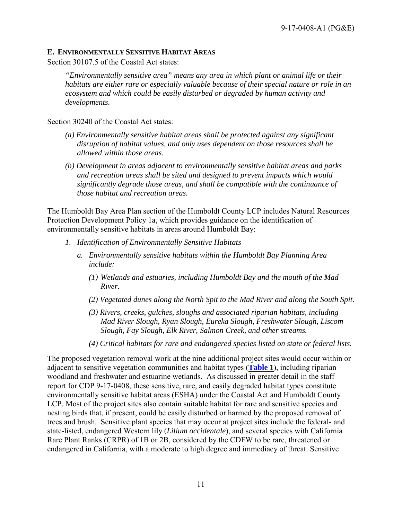#### <span id="page-10-0"></span>**E. ENVIRONMENTALLY SENSITIVE HABITAT AREAS**

Section 30107.5 of the Coastal Act states:

*"Environmentally sensitive area" means any area in which plant or animal life or their habitats are either rare or especially valuable because of their special nature or role in an ecosystem and which could be easily disturbed or degraded by human activity and developments.*

Section 30240 of the Coastal Act states:

- *(a) Environmentally sensitive habitat areas shall be protected against any significant disruption of habitat values, and only uses dependent on those resources shall be allowed within those areas.*
- *(b) Development in areas adjacent to environmentally sensitive habitat areas and parks and recreation areas shall be sited and designed to prevent impacts which would significantly degrade those areas, and shall be compatible with the continuance of those habitat and recreation areas.*

The Humboldt Bay Area Plan section of the Humboldt County LCP includes Natural Resources Protection Development Policy 1a, which provides guidance on the identification of environmentally sensitive habitats in areas around Humboldt Bay:

- *1. Identification of Environmentally Sensitive Habitats* 
	- *a. Environmentally sensitive habitats within the Humboldt Bay Planning Area include:* 
		- *(1) Wetlands and estuaries, including Humboldt Bay and the mouth of the Mad River.*
		- *(2) Vegetated dunes along the North Spit to the Mad River and along the South Spit.*
		- *(3) Rivers, creeks, gulches, sloughs and associated riparian habitats, including Mad River Slough, Ryan Slough, Eureka Slough, Freshwater Slough, Liscom Slough, Fay Slough, Elk River, Salmon Creek, and other streams.*
		- *(4) Critical habitats for rare and endangered species listed on state or federal lists.*

The proposed vegetation removal work at the nine additional project sites would occur within or adjacent to sensitive vegetation communities and habitat types (**[Table 1](#page-5-0)**), including riparian woodland and freshwater and estuarine wetlands. As discussed in greater detail in the staff report for CDP 9-17-0408, these sensitive, rare, and easily degraded habitat types constitute environmentally sensitive habitat areas (ESHA) under the Coastal Act and Humboldt County LCP. Most of the project sites also contain suitable habitat for rare and sensitive species and nesting birds that, if present, could be easily disturbed or harmed by the proposed removal of trees and brush. Sensitive plant species that may occur at project sites include the federal- and state-listed, endangered Western lily (*Lilium occidentale*), and several species with California Rare Plant Ranks (CRPR) of 1B or 2B, considered by the CDFW to be rare, threatened or endangered in California, with a moderate to high degree and immediacy of threat. Sensitive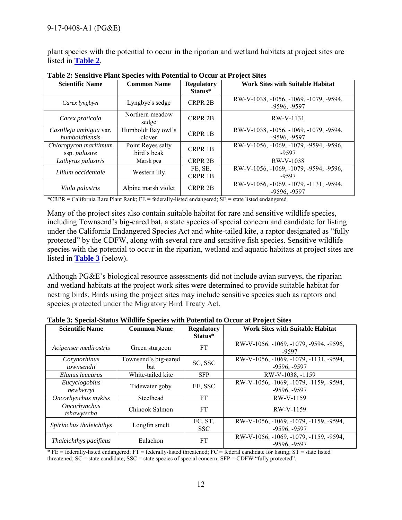plant species with the potential to occur in the riparian and wetland habitats at project sites are listed in **[Table 2](#page-11-0)**.

| <b>Scientific Name</b>                                                            | <b>Common Name</b>           | <b>Regulatory</b>         | <b>Work Sites with Suitable Habitat</b>                  |
|-----------------------------------------------------------------------------------|------------------------------|---------------------------|----------------------------------------------------------|
|                                                                                   |                              | Status*                   |                                                          |
| Carex lyngbyei                                                                    | Lyngbye's sedge              | <b>CRPR 2B</b>            | RW-V-1038, -1056, -1069, -1079, -9594,<br>$-9596, -9597$ |
| Northern meadow<br>Carex praticola<br>sedge                                       |                              | <b>CRPR 2B</b>            | RW-V-1131                                                |
| Castilleja ambigua var.<br>humboldtiensis                                         | Humboldt Bay owl's<br>clover | <b>CRPR 1B</b>            | RW-V-1038, -1056, -1069, -1079, -9594,<br>$-9596, -9597$ |
| Point Reyes salty<br>Chloropyron maritimum<br>bird's beak<br>ssp. <i>palustre</i> |                              | <b>CRPR 1B</b>            | RW-V-1056, -1069, -1079, -9594, -9596,<br>-9597          |
| Lathyrus palustris                                                                | Marsh pea                    | <b>CRPR 2B</b>            | RW-V-1038                                                |
| Lilium occidentale                                                                | Western lily                 | FE, SE,<br><b>CRPR 1B</b> | RW-V-1056, -1069, -1079, -9594, -9596,<br>-9597          |
| Viola palustris                                                                   | Alpine marsh violet          | <b>CRPR 2B</b>            | RW-V-1056, -1069, -1079, -1131, -9594,<br>$-9596, -9597$ |

<span id="page-11-0"></span>**Table 2: Sensitive Plant Species with Potential to Occur at Project Sites**

\*CRPR = California Rare Plant Rank; FE = federally-listed endangered; SE = state listed endangered

Many of the project sites also contain suitable habitat for rare and sensitive wildlife species, including Townsend's big-eared bat, a state species of special concern and candidate for listing under the California Endangered Species Act and white-tailed kite, a raptor designated as "fully protected" by the CDFW, along with several rare and sensitive fish species. Sensitive wildlife species with the potential to occur in the riparian, wetland and aquatic habitats at project sites are listed in **[Table 3](#page-11-1)** (below).

Although PG&E's biological resource assessments did not include avian surveys, the riparian and wetland habitats at the project work sites were determined to provide suitable habitat for nesting birds. Birds using the project sites may include sensitive species such as raptors and species protected under the Migratory Bird Treaty Act.

| <b>Scientific Name</b>                  | <b>Common Name</b>   | <b>Regulatory</b> | <b>Work Sites with Suitable Habitat</b>         |
|-----------------------------------------|----------------------|-------------------|-------------------------------------------------|
|                                         |                      | Status*           |                                                 |
| Acipenser medirostris<br>Green sturgeon |                      | FT                | RW-V-1056, -1069, -1079, -9594, -9596,<br>-9597 |
| Corynorhinus                            | Townsend's big-eared | SC, SSC           | RW-V-1056, -1069, -1079, -1131, -9594,          |
| townsendii                              | bat                  |                   | $-9596, -9597$                                  |
| Elanus leucurus                         | White-tailed kite    | <b>SFP</b>        | RW-V-1038, -1159                                |
| Eucyclogobius                           | Tidewater goby       | FE, SSC           | RW-V-1056, -1069, -1079, -1159, -9594,          |
| newberryi                               |                      |                   | $-9596, -9597$                                  |
| Oncorhynchus mykiss<br>Steelhead        |                      | FT                | RW-V-1159                                       |
| Oncorhynchus                            | Chinook Salmon       | FT                | RW-V-1159                                       |
| tshawytscha                             |                      |                   |                                                 |
| Spirinchus thaleichthys                 | Longfin smelt        | FC, ST,           | RW-V-1056, -1069, -1079, -1159, -9594,          |
|                                         |                      | <b>SSC</b>        | $-9596, -9597$                                  |
| Thaleichthys pacificus                  | Eulachon             | <b>FT</b>         | RW-V-1056, -1069, -1079, -1159, -9594,          |
|                                         |                      |                   | $-9596, -9597$                                  |

<span id="page-11-1"></span>**Table 3: Special-Status Wildlife Species with Potential to Occur at Project Sites**

 $*$  FE = federally-listed endangered; FT = federally-listed threatened; FC = federal candidate for listing; ST = state listed threatened;  $SC = state$  candidate;  $SSC = state$  species of special concern;  $SFP = CDFW$  "fully protected".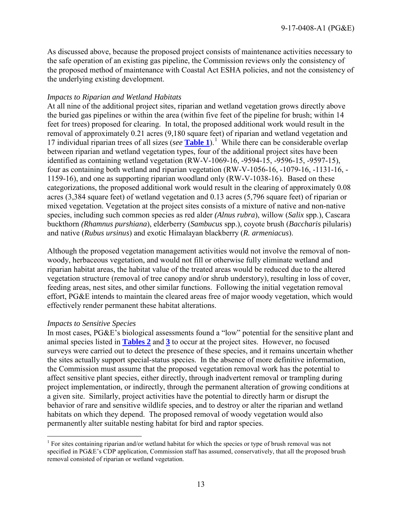As discussed above, because the proposed project consists of maintenance activities necessary to the safe operation of an existing gas pipeline, the Commission reviews only the consistency of the proposed method of maintenance with Coastal Act ESHA policies, and not the consistency of the underlying existing development.

#### *Impacts to Riparian and Wetland Habitats*

At all nine of the additional project sites, riparian and wetland vegetation grows directly above the buried gas pipelines or within the area (within five feet of the pipeline for brush; within 14 feet for trees) proposed for clearing. In total, the proposed additional work would result in the removal of approximately 0.21 acres (9,180 square feet) of riparian and wetland vegetation and 17 individual riparian trees of all sizes (*see* **[Table 1](#page-5-0)**).[1](#page-12-0) While there can be considerable overlap between riparian and wetland vegetation types, four of the additional project sites have been identified as containing wetland vegetation (RW-V-1069-16, -9594-15, -9596-15, -9597-15), four as containing both wetland and riparian vegetation (RW-V-1056-16, -1079-16, -1131-16, - 1159-16), and one as supporting riparian woodland only (RW-V-1038-16). Based on these categorizations, the proposed additional work would result in the clearing of approximately 0.08 acres (3,384 square feet) of wetland vegetation and 0.13 acres (5,796 square feet) of riparian or mixed vegetation. Vegetation at the project sites consists of a mixture of native and non-native species, including such common species as red alder *(Alnus rubra*), willow (*Salix* spp.), Cascara buckthorn *(Rhamnus purshiana*), elderberry (*Sambucus* spp.), coyote brush (*Baccharis* pilularis) and native (*Rubus ursinus*) and exotic Himalayan blackberry (*R. armeniacus*).

Although the proposed vegetation management activities would not involve the removal of nonwoody, herbaceous vegetation, and would not fill or otherwise fully eliminate wetland and riparian habitat areas, the habitat value of the treated areas would be reduced due to the altered vegetation structure (removal of tree canopy and/or shrub understory), resulting in loss of cover, feeding areas, nest sites, and other similar functions. Following the initial vegetation removal effort, PG&E intends to maintain the cleared areas free of major woody vegetation, which would effectively render permanent these habitat alterations.

#### *Impacts to Sensitive Species*

In most cases, PG&E's biological assessments found a "low" potential for the sensitive plant and animal species listed in **[Tables 2](#page-11-0)** and **[3](#page-11-1)** to occur at the project sites. However, no focused surveys were carried out to detect the presence of these species, and it remains uncertain whether the sites actually support special-status species. In the absence of more definitive information, the Commission must assume that the proposed vegetation removal work has the potential to affect sensitive plant species, either directly, through inadvertent removal or trampling during project implementation, or indirectly, through the permanent alteration of growing conditions at a given site. Similarly, project activities have the potential to directly harm or disrupt the behavior of rare and sensitive wildlife species, and to destroy or alter the riparian and wetland habitats on which they depend. The proposed removal of woody vegetation would also permanently alter suitable nesting habitat for bird and raptor species.

<span id="page-12-0"></span> $\overline{a}$ <sup>1</sup> For sites containing riparian and/or wetland habitat for which the species or type of brush removal was not specified in PG&E's CDP application, Commission staff has assumed, conservatively, that all the proposed brush removal consisted of riparian or wetland vegetation.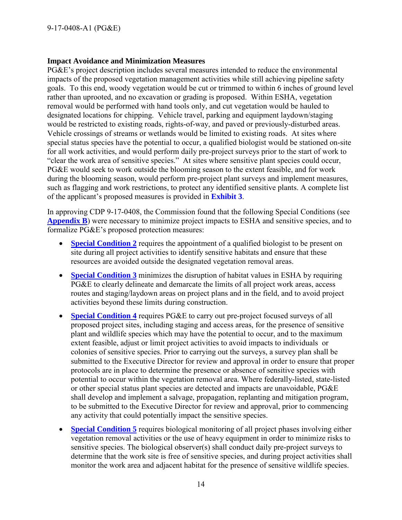#### **Impact Avoidance and Minimization Measures**

PG&E's project description includes several measures intended to reduce the environmental impacts of the proposed vegetation management activities while still achieving pipeline safety goals. To this end, woody vegetation would be cut or trimmed to within 6 inches of ground level rather than uprooted, and no excavation or grading is proposed. Within ESHA, vegetation removal would be performed with hand tools only, and cut vegetation would be hauled to designated locations for chipping. Vehicle travel, parking and equipment laydown/staging would be restricted to existing roads, rights-of-way, and paved or previously-disturbed areas. Vehicle crossings of streams or wetlands would be limited to existing roads. At sites where special status species have the potential to occur, a qualified biologist would be stationed on-site for all work activities, and would perform daily pre-project surveys prior to the start of work to "clear the work area of sensitive species." At sites where sensitive plant species could occur, PG&E would seek to work outside the blooming season to the extent feasible, and for work during the blooming season, would perform pre-project plant surveys and implement measures, such as flagging and work restrictions, to protect any identified sensitive plants. A complete list of the applicant's proposed measures is provided in **[Exhibit 3](https://documents.coastal.ca.gov/reports/2017/9/w23b/w23b-9-2017-exhibits.pdf)**.

In approving CDP 9-17-0408, the Commission found that the following Special Conditions (see **[Appendix B](#page-20-0)**) were necessary to minimize project impacts to ESHA and sensitive species, and to formalize PG&E's proposed protection measures:

- **[Special Condition 2](#page-20-1)** requires the appointment of a qualified biologist to be present on site during all project activities to identify sensitive habitats and ensure that these resources are avoided outside the designated vegetation removal areas.
- **[Special Condition 3](#page-21-0)** minimizes the disruption of habitat values in ESHA by requiring PG&E to clearly delineate and demarcate the limits of all project work areas, access routes and staging/laydown areas on project plans and in the field, and to avoid project activities beyond these limits during construction.
- **[Special Condition 4](#page-21-1)** requires PG&E to carry out pre-project focused surveys of all proposed project sites, including staging and access areas, for the presence of sensitive plant and wildlife species which may have the potential to occur, and to the maximum extent feasible, adjust or limit project activities to avoid impacts to individuals or colonies of sensitive species. Prior to carrying out the surveys, a survey plan shall be submitted to the Executive Director for review and approval in order to ensure that proper protocols are in place to determine the presence or absence of sensitive species with potential to occur within the vegetation removal area. Where federally-listed, state-listed or other special status plant species are detected and impacts are unavoidable, PG&E shall develop and implement a salvage, propagation, replanting and mitigation program, to be submitted to the Executive Director for review and approval, prior to commencing any activity that could potentially impact the sensitive species.
- **[Special Condition 5](#page-22-0)** requires biological monitoring of all project phases involving either vegetation removal activities or the use of heavy equipment in order to minimize risks to sensitive species. The biological observer(s) shall conduct daily pre-project surveys to determine that the work site is free of sensitive species, and during project activities shall monitor the work area and adjacent habitat for the presence of sensitive wildlife species.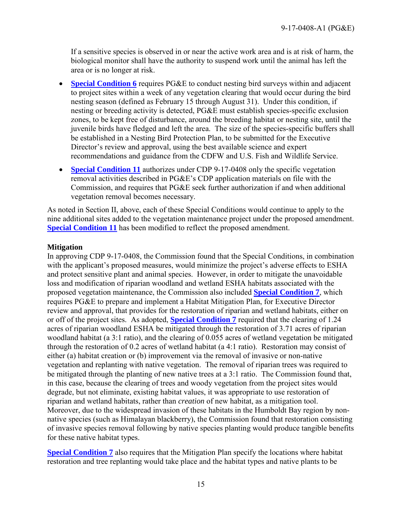If a sensitive species is observed in or near the active work area and is at risk of harm, the biological monitor shall have the authority to suspend work until the animal has left the area or is no longer at risk.

- **[Special Condition 6](#page-23-0)** requires PG&E to conduct nesting bird surveys within and adjacent to project sites within a week of any vegetation clearing that would occur during the bird nesting season (defined as February 15 through August 31). Under this condition, if nesting or breeding activity is detected, PG&E must establish species-specific exclusion zones, to be kept free of disturbance, around the breeding habitat or nesting site, until the juvenile birds have fledged and left the area. The size of the species-specific buffers shall be established in a Nesting Bird Protection Plan, to be submitted for the Executive Director's review and approval, using the best available science and expert recommendations and guidance from the CDFW and U.S. Fish and Wildlife Service.
- **[Special Condition 11](#page-26-0)** authorizes under CDP 9-17-0408 only the specific vegetation removal activities described in PG&E's CDP application materials on file with the Commission, and requires that PG&E seek further authorization if and when additional vegetation removal becomes necessary.

As noted in Section II, above, each of these Special Conditions would continue to apply to the nine additional sites added to the vegetation maintenance project under the proposed amendment. **[Special Condition 11](#page-4-0)** has been modified to reflect the proposed amendment.

#### **Mitigation**

In approving CDP 9-17-0408, the Commission found that the Special Conditions, in combination with the applicant's proposed measures, would minimize the project's adverse effects to ESHA and protect sensitive plant and animal species. However, in order to mitigate the unavoidable loss and modification of riparian woodland and wetland ESHA habitats associated with the proposed vegetation maintenance, the Commission also included **[Special Condition 7](#page-24-0)**, which requires PG&E to prepare and implement a Habitat Mitigation Plan, for Executive Director review and approval, that provides for the restoration of riparian and wetland habitats, either on or off of the project sites. As adopted, **[Special Condition 7](#page-24-0)** required that the clearing of 1.24 acres of riparian woodland ESHA be mitigated through the restoration of 3.71 acres of riparian woodland habitat (a 3:1 ratio), and the clearing of 0.055 acres of wetland vegetation be mitigated through the restoration of 0.2 acres of wetland habitat (a 4:1 ratio). Restoration may consist of either (a) habitat creation or (b) improvement via the removal of invasive or non-native vegetation and replanting with native vegetation. The removal of riparian trees was required to be mitigated through the planting of new native trees at a 3:1 ratio. The Commission found that, in this case, because the clearing of trees and woody vegetation from the project sites would degrade, but not eliminate, existing habitat values, it was appropriate to use restoration of riparian and wetland habitats, rather than *creation* of new habitat, as a mitigation tool. Moreover, due to the widespread invasion of these habitats in the Humboldt Bay region by nonnative species (such as Himalayan blackberry), the Commission found that restoration consisting of invasive species removal following by native species planting would produce tangible benefits for these native habitat types.

**Special [Condition 7](#page-24-0)** also requires that the Mitigation Plan specify the locations where habitat restoration and tree replanting would take place and the habitat types and native plants to be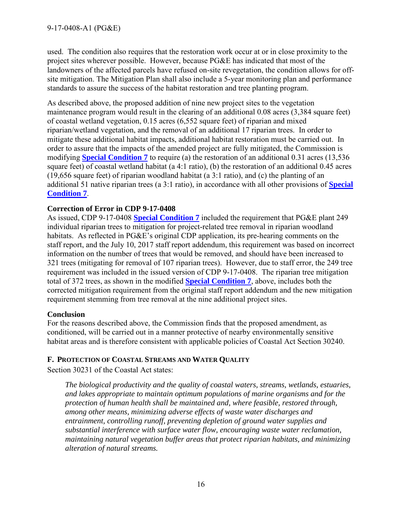used. The condition also requires that the restoration work occur at or in close proximity to the project sites wherever possible. However, because PG&E has indicated that most of the landowners of the affected parcels have refused on-site revegetation, the condition allows for offsite mitigation. The Mitigation Plan shall also include a 5-year monitoring plan and performance standards to assure the success of the habitat restoration and tree planting program.

As described above, the proposed addition of nine new project sites to the vegetation maintenance program would result in the clearing of an additional 0.08 acres (3,384 square feet) of coastal wetland vegetation, 0.15 acres (6,552 square feet) of riparian and mixed riparian/wetland vegetation, and the removal of an additional 17 riparian trees. In order to mitigate these additional habitat impacts, additional habitat restoration must be carried out. In order to assure that the impacts of the amended project are fully mitigated, the Commission is modifying **[Special Condition 7](#page-3-0)** to require (a) the restoration of an additional 0.31 acres (13,536 square feet) of coastal wetland habitat (a 4:1 ratio), (b) the restoration of an additional 0.45 acres (19,656 square feet) of riparian woodland habitat (a 3:1 ratio), and (c) the planting of an additional 51 native riparian trees (a 3:1 ratio), in accordance with all other provisions of **[Special](#page-3-0)  [Condition 7](#page-3-0)**.

## **Correction of Error in CDP 9-17-0408**

As issued, CDP 9-17-0408 **[Special Condition 7](#page-20-0)** included the requirement that PG&E plant 249 individual riparian trees to mitigation for project-related tree removal in riparian woodland habitats. As reflected in PG&E's original CDP application, its pre-hearing comments on the staff report, and the July 10, 2017 staff report addendum, this requirement was based on incorrect information on the number of trees that would be removed, and should have been increased to 321 trees (mitigating for removal of 107 riparian trees). However, due to staff error, the 249 tree requirement was included in the issued version of CDP 9-17-0408. The riparian tree mitigation total of 372 trees, as shown in the modified **[Special Condition 7](#page-24-0)**, above, includes both the corrected mitigation requirement from the original staff report addendum and the new mitigation requirement stemming from tree removal at the nine additional project sites.

## **Conclusion**

For the reasons described above, the Commission finds that the proposed amendment, as conditioned, will be carried out in a manner protective of nearby environmentally sensitive habitat areas and is therefore consistent with applicable policies of Coastal Act Section 30240.

## <span id="page-15-0"></span>**F. PROTECTION OF COASTAL STREAMS AND WATER QUALITY**

Section 30231 of the Coastal Act states:

*The biological productivity and the quality of coastal waters, streams, wetlands, estuaries, and lakes appropriate to maintain optimum populations of marine organisms and for the protection of human health shall be maintained and, where feasible, restored through, among other means, minimizing adverse effects of waste water discharges and entrainment, controlling runoff, preventing depletion of ground water supplies and substantial interference with surface water flow, encouraging waste water reclamation, maintaining natural vegetation buffer areas that protect riparian habitats, and minimizing alteration of natural streams.*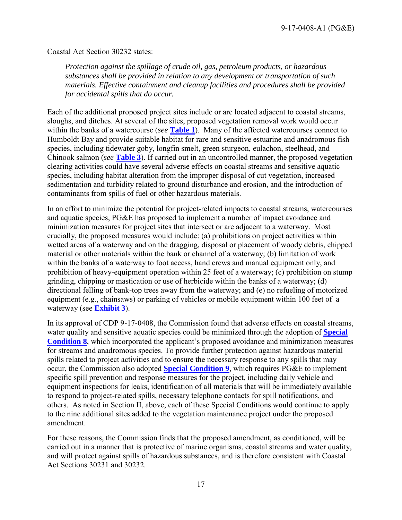Coastal Act Section 30232 states:

*Protection against the spillage of crude oil, gas, petroleum products, or hazardous substances shall be provided in relation to any development or transportation of such materials. Effective containment and cleanup facilities and procedures shall be provided for accidental spills that do occur.* 

Each of the additional proposed project sites include or are located adjacent to coastal streams, sloughs, and ditches. At several of the sites, proposed vegetation removal work would occur within the banks of a watercourse (*see* **[Table 1](#page-5-0)**). Many of the affected watercourses connect to Humboldt Bay and provide suitable habitat for rare and sensitive estuarine and anadromous fish species, including tidewater goby, longfin smelt, green sturgeon, eulachon, steelhead, and Chinook salmon (*see* **[Table 3](#page-11-1)**). If carried out in an uncontrolled manner, the proposed vegetation clearing activities could have several adverse effects on coastal streams and sensitive aquatic species, including habitat alteration from the improper disposal of cut vegetation, increased sedimentation and turbidity related to ground disturbance and erosion, and the introduction of contaminants from spills of fuel or other hazardous materials.

In an effort to minimize the potential for project-related impacts to coastal streams, watercourses and aquatic species, PG&E has proposed to implement a number of impact avoidance and minimization measures for project sites that intersect or are adjacent to a waterway. Most crucially, the proposed measures would include: (a) prohibitions on project activities within wetted areas of a waterway and on the dragging, disposal or placement of woody debris, chipped material or other materials within the bank or channel of a waterway; (b) limitation of work within the banks of a waterway to foot access, hand crews and manual equipment only, and prohibition of heavy-equipment operation within 25 feet of a waterway; (c) prohibition on stump grinding, chipping or mastication or use of herbicide within the banks of a waterway; (d) directional felling of bank-top trees away from the waterway; and (e) no refueling of motorized equipment (e.g., chainsaws) or parking of vehicles or mobile equipment within 100 feet of a waterway (see **[Exhibit 3](https://documents.coastal.ca.gov/reports/2017/9/w23b/w23b-9-2017-exhibits.pdf)**).

In its approval of CDP 9-17-0408, the Commission found that adverse effects on coastal streams, water quality and sensitive aquatic species could be minimized through the adoption of **[Special](#page-25-0)  [Condition 8](#page-25-0)**, which incorporated the applicant's proposed avoidance and minimization measures for streams and anadromous species. To provide further protection against hazardous material spills related to project activities and to ensure the necessary response to any spills that may occur, the Commission also adopted **[Special Condition 9](#page-25-1)**, which requires PG&E to implement specific spill prevention and response measures for the project, including daily vehicle and equipment inspections for leaks, identification of all materials that will be immediately available to respond to project-related spills, necessary telephone contacts for spill notifications, and others. As noted in Section II, above, each of these Special Conditions would continue to apply to the nine additional sites added to the vegetation maintenance project under the proposed amendment.

<span id="page-16-0"></span>For these reasons, the Commission finds that the proposed amendment, as conditioned, will be carried out in a manner that is protective of marine organisms, coastal streams and water quality, and will protect against spills of hazardous substances, and is therefore consistent with Coastal Act Sections 30231 and 30232.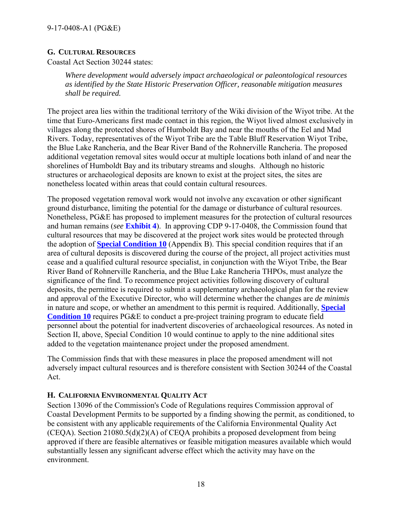## **G. CULTURAL RESOURCES**

Coastal Act Section 30244 states:

*Where development would adversely impact archaeological or paleontological resources as identified by the State Historic Preservation Officer, reasonable mitigation measures shall be required.* 

The project area lies within the traditional territory of the Wiki division of the Wiyot tribe. At the time that Euro-Americans first made contact in this region, the Wiyot lived almost exclusively in villages along the protected shores of Humboldt Bay and near the mouths of the Eel and Mad Rivers. Today, representatives of the Wiyot Tribe are the Table Bluff Reservation Wiyot Tribe, the Blue Lake Rancheria, and the Bear River Band of the Rohnerville Rancheria. The proposed additional vegetation removal sites would occur at multiple locations both inland of and near the shorelines of Humboldt Bay and its tributary streams and sloughs. Although no historic structures or archaeological deposits are known to exist at the project sites, the sites are nonetheless located within areas that could contain cultural resources.

The proposed vegetation removal work would not involve any excavation or other significant ground disturbance, limiting the potential for the damage or disturbance of cultural resources. Nonetheless, PG&E has proposed to implement measures for the protection of cultural resources and human remains (*see* **[Exhibit 4](https://documents.coastal.ca.gov/reports/2017/9/w23b/w23b-9-2017-exhibits.pdf)**). In approving CDP 9-17-0408, the Commission found that cultural resources that may be discovered at the project work sites would be protected through the adoption of **[Special Condition 10](#page-25-2)** (Appendix B). This special condition requires that if an area of cultural deposits is discovered during the course of the project, all project activities must cease and a qualified cultural resource specialist, in conjunction with the Wiyot Tribe, the Bear River Band of Rohnerville Rancheria, and the Blue Lake Rancheria THPOs, must analyze the significance of the find. To recommence project activities following discovery of cultural deposits, the permittee is required to submit a supplementary archaeological plan for the review and approval of the Executive Director, who will determine whether the changes are *de minimis* in nature and scope, or whether an amendment to this permit is required. Additionally, **[Special](#page-25-2)  [Condition 10](#page-25-2)** requires PG&E to conduct a pre-project training program to educate field personnel about the potential for inadvertent discoveries of archaeological resources. As noted in Section II, above, Special Condition 10 would continue to apply to the nine additional sites added to the vegetation maintenance project under the proposed amendment.

The Commission finds that with these measures in place the proposed amendment will not adversely impact cultural resources and is therefore consistent with Section 30244 of the Coastal Act.

## <span id="page-17-0"></span>**H. CALIFORNIA ENVIRONMENTAL QUALITY ACT**

Section 13096 of the Commission's Code of Regulations requires Commission approval of Coastal Development Permits to be supported by a finding showing the permit, as conditioned, to be consistent with any applicable requirements of the California Environmental Quality Act (CEQA). Section 21080.5(d)(2)(A) of CEQA prohibits a proposed development from being approved if there are feasible alternatives or feasible mitigation measures available which would substantially lessen any significant adverse effect which the activity may have on the environment.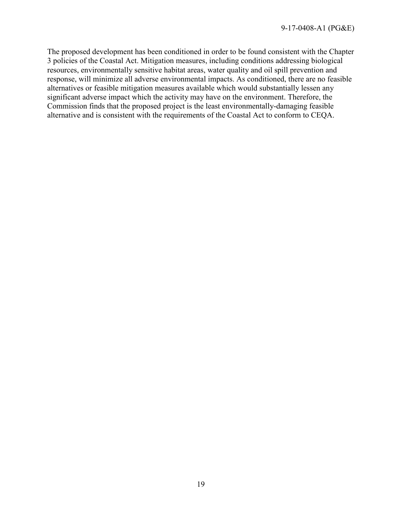The proposed development has been conditioned in order to be found consistent with the Chapter 3 policies of the Coastal Act. Mitigation measures, including conditions addressing biological resources, environmentally sensitive habitat areas, water quality and oil spill prevention and response, will minimize all adverse environmental impacts. As conditioned, there are no feasible alternatives or feasible mitigation measures available which would substantially lessen any significant adverse impact which the activity may have on the environment. Therefore, the Commission finds that the proposed project is the least environmentally-damaging feasible alternative and is consistent with the requirements of the Coastal Act to conform to CEQA.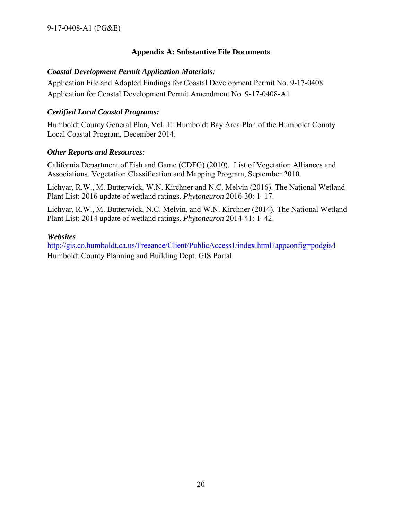## **Appendix A: Substantive File Documents**

### <span id="page-19-0"></span>*Coastal Development Permit Application Materials:*

Application File and Adopted Findings for Coastal Development Permit No. 9-17-0408 Application for Coastal Development Permit Amendment No. 9-17-0408-A1

## *Certified Local Coastal Programs:*

Humboldt County General Plan, Vol. II: Humboldt Bay Area Plan of the Humboldt County Local Coastal Program, December 2014.

#### *Other Reports and Resources:*

California Department of Fish and Game (CDFG) (2010). List of Vegetation Alliances and Associations. Vegetation Classification and Mapping Program, September 2010.

Lichvar, R.W., M. Butterwick, W.N. Kirchner and N.C. Melvin (2016). The National Wetland Plant List: 2016 update of wetland ratings. *Phytoneuron* 2016-30: 1–17.

Lichvar, R.W., M. Butterwick, N.C. Melvin, and W.N. Kirchner (2014). The National Wetland Plant List: 2014 update of wetland ratings. *Phytoneuron* 2014-41: 1–42.

#### *Websites*

http://gis.co.humboldt.ca.us/Freeance/Client/PublicAccess1/index.html?appconfig=podgis4 Humboldt County Planning and Building Dept. GIS Portal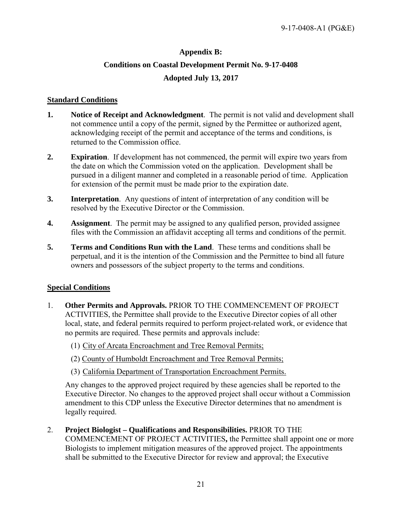## **Appendix B: Conditions on Coastal Development Permit No. 9-17-0408 Adopted July 13, 2017**

#### <span id="page-20-0"></span>**Standard Conditions**

- **1. Notice of Receipt and Acknowledgment**. The permit is not valid and development shall not commence until a copy of the permit, signed by the Permittee or authorized agent, acknowledging receipt of the permit and acceptance of the terms and conditions, is returned to the Commission office.
- **2. Expiration**. If development has not commenced, the permit will expire two years from the date on which the Commission voted on the application. Development shall be pursued in a diligent manner and completed in a reasonable period of time. Application for extension of the permit must be made prior to the expiration date.
- **3. Interpretation**. Any questions of intent of interpretation of any condition will be resolved by the Executive Director or the Commission.
- **4. Assignment**. The permit may be assigned to any qualified person, provided assignee files with the Commission an affidavit accepting all terms and conditions of the permit.
- **5. Terms and Conditions Run with the Land**. These terms and conditions shall be perpetual, and it is the intention of the Commission and the Permittee to bind all future owners and possessors of the subject property to the terms and conditions.

#### **Special Conditions**

- 1. **Other Permits and Approvals.** PRIOR TO THE COMMENCEMENT OF PROJECT ACTIVITIES, the Permittee shall provide to the Executive Director copies of all other local, state, and federal permits required to perform project-related work, or evidence that no permits are required. These permits and approvals include:
	- (1) City of Arcata Encroachment and Tree Removal Permits;
	- (2) County of Humboldt Encroachment and Tree Removal Permits;
	- (3) California Department of Transportation Encroachment Permits.

 Any changes to the approved project required by these agencies shall be reported to the Executive Director. No changes to the approved project shall occur without a Commission amendment to this CDP unless the Executive Director determines that no amendment is legally required.

<span id="page-20-1"></span>2. **Project Biologist – Qualifications and Responsibilities.** PRIOR TO THE COMMENCEMENT OF PROJECT ACTIVITIES**,** the Permittee shall appoint one or more Biologists to implement mitigation measures of the approved project. The appointments shall be submitted to the Executive Director for review and approval; the Executive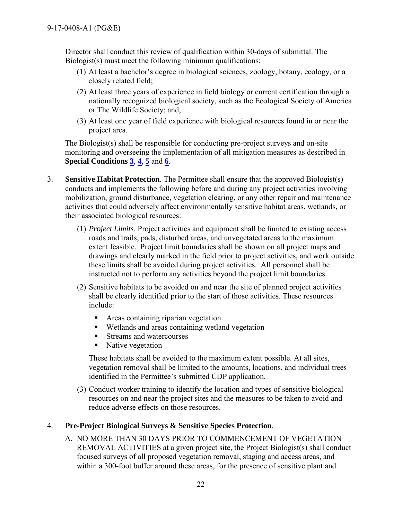Director shall conduct this review of qualification within 30-days of submittal. The Biologist(s) must meet the following minimum qualifications:

- (1) At least a bachelor's degree in biological sciences, zoology, botany, ecology, or a closely related field;
- (2) At least three years of experience in field biology or current certification through a nationally recognized biological society, such as the Ecological Society of America or The Wildlife Society; and,
- (3) At least one year of field experience with biological resources found in or near the project area.

The Biologist(s) shall be responsible for conducting pre-project surveys and on-site monitoring and overseeing the implementation of all mitigation measures as described in **Special Conditions [3](#page-21-0)**, **[4](#page-21-1)**, **[5](#page-22-0)** and **[6](#page-23-0)**.

- <span id="page-21-0"></span>3. **Sensitive Habitat Protection**. The Permittee shall ensure that the approved Biologist(s) conducts and implements the following before and during any project activities involving mobilization, ground disturbance, vegetation clearing, or any other repair and maintenance activities that could adversely affect environmentally sensitive habitat areas, wetlands, or their associated biological resources:
	- (1) *Project Limits*. Project activities and equipment shall be limited to existing access roads and trails, pads, disturbed areas, and unvegetated areas to the maximum extent feasible. Project limit boundaries shall be shown on all project maps and drawings and clearly marked in the field prior to project activities, and work outside these limits shall be avoided during project activities. All personnel shall be instructed not to perform any activities beyond the project limit boundaries.
	- (2) Sensitive habitats to be avoided on and near the site of planned project activities shall be clearly identified prior to the start of those activities. These resources include:
		- **Areas containing riparian vegetation**
		- Wetlands and areas containing wetland vegetation
		- **Streams and watercourses**
		- Native vegetation

These habitats shall be avoided to the maximum extent possible. At all sites, vegetation removal shall be limited to the amounts, locations, and individual trees identified in the Permittee's submitted CDP application.

(3) Conduct worker training to identify the location and types of sensitive biological resources on and near the project sites and the measures to be taken to avoid and reduce adverse effects on those resources.

## <span id="page-21-1"></span>4. **Pre-Project Biological Surveys & Sensitive Species Protection**.

A. NO MORE THAN 30 DAYS PRIOR TO COMMENCEMENT OF VEGETATION REMOVAL ACTIVITIES at a given project site, the Project Biologist(s) shall conduct focused surveys of all proposed vegetation removal, staging and access areas, and within a 300-foot buffer around these areas, for the presence of sensitive plant and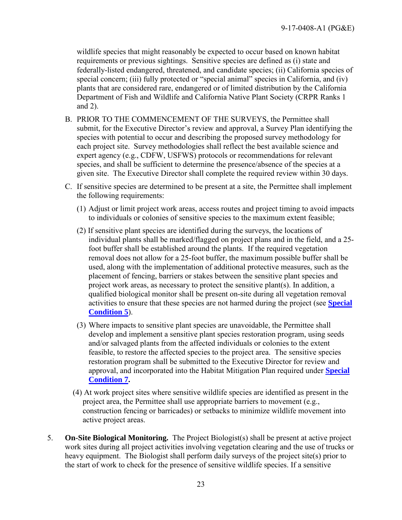wildlife species that might reasonably be expected to occur based on known habitat requirements or previous sightings. Sensitive species are defined as (i) state and federally-listed endangered, threatened, and candidate species; (ii) California species of special concern; (iii) fully protected or "special animal" species in California, and (iv) plants that are considered rare, endangered or of limited distribution by the California Department of Fish and Wildlife and California Native Plant Society (CRPR Ranks 1 and 2).

- B. PRIOR TO THE COMMENCEMENT OF THE SURVEYS, the Permittee shall submit, for the Executive Director's review and approval, a Survey Plan identifying the species with potential to occur and describing the proposed survey methodology for each project site. Survey methodologies shall reflect the best available science and expert agency (e.g., CDFW, USFWS) protocols or recommendations for relevant species, and shall be sufficient to determine the presence/absence of the species at a given site. The Executive Director shall complete the required review within 30 days.
- C. If sensitive species are determined to be present at a site, the Permittee shall implement the following requirements:
	- (1) Adjust or limit project work areas, access routes and project timing to avoid impacts to individuals or colonies of sensitive species to the maximum extent feasible;
	- (2) If sensitive plant species are identified during the surveys, the locations of individual plants shall be marked/flagged on project plans and in the field, and a 25 foot buffer shall be established around the plants. If the required vegetation removal does not allow for a 25-foot buffer, the maximum possible buffer shall be used, along with the implementation of additional protective measures, such as the placement of fencing, barriers or stakes between the sensitive plant species and project work areas, as necessary to protect the sensitive plant(s). In addition, a qualified biological monitor shall be present on-site during all vegetation removal activities to ensure that these species are not harmed during the project (see **[Special](#page-22-0)  [Condition 5](#page-22-0)**).
	- (3) Where impacts to sensitive plant species are unavoidable, the Permittee shall develop and implement a sensitive plant species restoration program, using seeds and/or salvaged plants from the affected individuals or colonies to the extent feasible, to restore the affected species to the project area. The sensitive species restoration program shall be submitted to the Executive Director for review and approval, and incorporated into the Habitat Mitigation Plan required under **[Special](#page-24-0)  [Condition 7.](#page-24-0)**
	- (4) At work project sites where sensitive wildlife species are identified as present in the project area, the Permittee shall use appropriate barriers to movement (e.g., construction fencing or barricades) or setbacks to minimize wildlife movement into active project areas.
- <span id="page-22-0"></span>5. **On-Site Biological Monitoring.** The Project Biologist(s) shall be present at active project work sites during all project activities involving vegetation clearing and the use of trucks or heavy equipment. The Biologist shall perform daily surveys of the project site(s) prior to the start of work to check for the presence of sensitive wildlife species. If a sensitive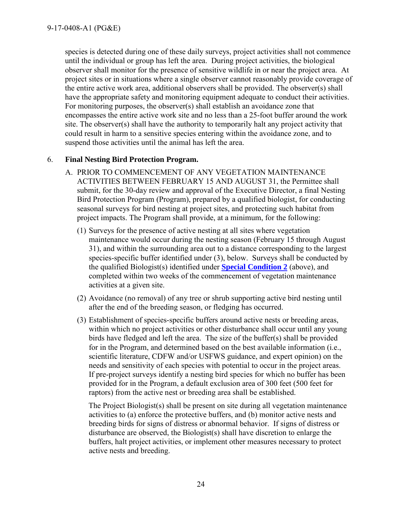species is detected during one of these daily surveys, project activities shall not commence until the individual or group has left the area. During project activities, the biological observer shall monitor for the presence of sensitive wildlife in or near the project area. At project sites or in situations where a single observer cannot reasonably provide coverage of the entire active work area, additional observers shall be provided. The observer(s) shall have the appropriate safety and monitoring equipment adequate to conduct their activities. For monitoring purposes, the observer(s) shall establish an avoidance zone that encompasses the entire active work site and no less than a 25-foot buffer around the work site. The observer(s) shall have the authority to temporarily halt any project activity that could result in harm to a sensitive species entering within the avoidance zone, and to suspend those activities until the animal has left the area.

## <span id="page-23-0"></span>6. **Final Nesting Bird Protection Program.**

- A. PRIOR TO COMMENCEMENT OF ANY VEGETATION MAINTENANCE ACTIVITIES BETWEEN FEBRUARY 15 AND AUGUST 31, the Permittee shall submit, for the 30-day review and approval of the Executive Director, a final Nesting Bird Protection Program (Program), prepared by a qualified biologist, for conducting seasonal surveys for bird nesting at project sites, and protecting such habitat from project impacts. The Program shall provide, at a minimum, for the following:
	- (1) Surveys for the presence of active nesting at all sites where vegetation maintenance would occur during the nesting season (February 15 through August 31), and within the surrounding area out to a distance corresponding to the largest species-specific buffer identified under (3), below. Surveys shall be conducted by the qualified Biologist(s) identified under **[Special Condition 2](#page-20-1)** (above), and completed within two weeks of the commencement of vegetation maintenance activities at a given site.
	- (2) Avoidance (no removal) of any tree or shrub supporting active bird nesting until after the end of the breeding season, or fledging has occurred.
	- (3) Establishment of species-specific buffers around active nests or breeding areas, within which no project activities or other disturbance shall occur until any young birds have fledged and left the area. The size of the buffer(s) shall be provided for in the Program, and determined based on the best available information (i.e., scientific literature, CDFW and/or USFWS guidance, and expert opinion) on the needs and sensitivity of each species with potential to occur in the project areas. If pre-project surveys identify a nesting bird species for which no buffer has been provided for in the Program, a default exclusion area of 300 feet (500 feet for raptors) from the active nest or breeding area shall be established.

The Project Biologist(s) shall be present on site during all vegetation maintenance activities to (a) enforce the protective buffers, and (b) monitor active nests and breeding birds for signs of distress or abnormal behavior. If signs of distress or disturbance are observed, the Biologist(s) shall have discretion to enlarge the buffers, halt project activities, or implement other measures necessary to protect active nests and breeding.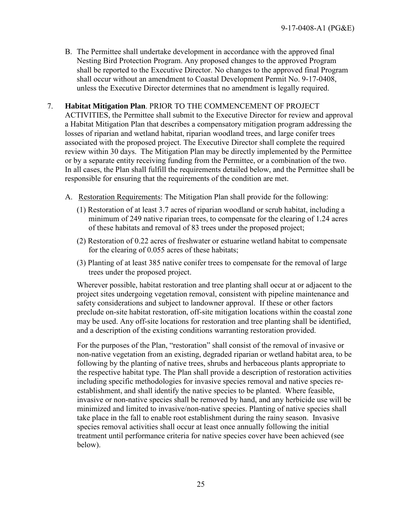B. The Permittee shall undertake development in accordance with the approved final Nesting Bird Protection Program. Any proposed changes to the approved Program shall be reported to the Executive Director. No changes to the approved final Program shall occur without an amendment to Coastal Development Permit No. 9-17-0408, unless the Executive Director determines that no amendment is legally required.

### <span id="page-24-0"></span>7. **Habitat Mitigation Plan**. PRIOR TO THE COMMENCEMENT OF PROJECT ACTIVITIES, the Permittee shall submit to the Executive Director for review and approval a Habitat Mitigation Plan that describes a compensatory mitigation program addressing the losses of riparian and wetland habitat, riparian woodland trees, and large conifer trees associated with the proposed project. The Executive Director shall complete the required review within 30 days. The Mitigation Plan may be directly implemented by the Permittee or by a separate entity receiving funding from the Permittee, or a combination of the two. In all cases, the Plan shall fulfill the requirements detailed below, and the Permittee shall be responsible for ensuring that the requirements of the condition are met.

- A. Restoration Requirements: The Mitigation Plan shall provide for the following:
	- (1) Restoration of at least 3.7 acres of riparian woodland or scrub habitat, including a minimum of 249 native riparian trees, to compensate for the clearing of 1.24 acres of these habitats and removal of 83 trees under the proposed project;
	- (2) Restoration of 0.22 acres of freshwater or estuarine wetland habitat to compensate for the clearing of 0.055 acres of these habitats;
	- (3) Planting of at least 385 native conifer trees to compensate for the removal of large trees under the proposed project.

Wherever possible, habitat restoration and tree planting shall occur at or adjacent to the project sites undergoing vegetation removal, consistent with pipeline maintenance and safety considerations and subject to landowner approval. If these or other factors preclude on-site habitat restoration, off-site mitigation locations within the coastal zone may be used. Any off-site locations for restoration and tree planting shall be identified, and a description of the existing conditions warranting restoration provided.

For the purposes of the Plan, "restoration" shall consist of the removal of invasive or non-native vegetation from an existing, degraded riparian or wetland habitat area, to be following by the planting of native trees, shrubs and herbaceous plants appropriate to the respective habitat type. The Plan shall provide a description of restoration activities including specific methodologies for invasive species removal and native species reestablishment, and shall identify the native species to be planted. Where feasible, invasive or non-native species shall be removed by hand, and any herbicide use will be minimized and limited to invasive/non-native species. Planting of native species shall take place in the fall to enable root establishment during the rainy season. Invasive species removal activities shall occur at least once annually following the initial treatment until performance criteria for native species cover have been achieved (see below).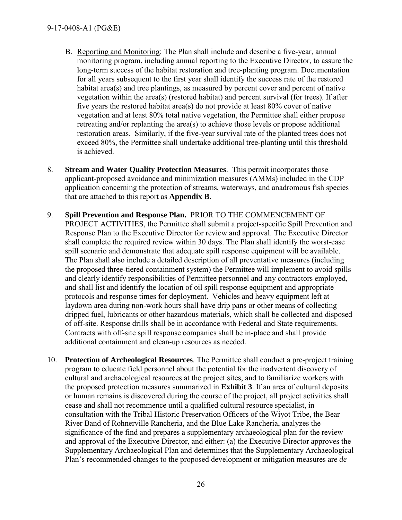#### 9-17-0408-A1 (PG&E)

- B. Reporting and Monitoring: The Plan shall include and describe a five-year, annual monitoring program, including annual reporting to the Executive Director, to assure the long-term success of the habitat restoration and tree-planting program. Documentation for all years subsequent to the first year shall identify the success rate of the restored habitat area(s) and tree plantings, as measured by percent cover and percent of native vegetation within the area(s) (restored habitat) and percent survival (for trees). If after five years the restored habitat area(s) do not provide at least 80% cover of native vegetation and at least 80% total native vegetation, the Permittee shall either propose retreating and/or replanting the area(s) to achieve those levels or propose additional restoration areas. Similarly, if the five-year survival rate of the planted trees does not exceed 80%, the Permittee shall undertake additional tree-planting until this threshold is achieved.
- <span id="page-25-0"></span>8. **Stream and Water Quality Protection Measures**. This permit incorporates those applicant-proposed avoidance and minimization measures (AMMs) included in the CDP application concerning the protection of streams, waterways, and anadromous fish species that are attached to this report as **Appendix B**.
- <span id="page-25-1"></span>9. **Spill Prevention and Response Plan.** PRIOR TO THE COMMENCEMENT OF PROJECT ACTIVITIES, the Permittee shall submit a project-specific Spill Prevention and Response Plan to the Executive Director for review and approval. The Executive Director shall complete the required review within 30 days. The Plan shall identify the worst-case spill scenario and demonstrate that adequate spill response equipment will be available. The Plan shall also include a detailed description of all preventative measures (including the proposed three-tiered containment system) the Permittee will implement to avoid spills and clearly identify responsibilities of Permittee personnel and any contractors employed, and shall list and identify the location of oil spill response equipment and appropriate protocols and response times for deployment. Vehicles and heavy equipment left at laydown area during non-work hours shall have drip pans or other means of collecting dripped fuel, lubricants or other hazardous materials, which shall be collected and disposed of off-site. Response drills shall be in accordance with Federal and State requirements. Contracts with off-site spill response companies shall be in-place and shall provide additional containment and clean-up resources as needed.
- <span id="page-25-2"></span>10. **Protection of Archeological Resources**. The Permittee shall conduct a pre-project training program to educate field personnel about the potential for the inadvertent discovery of cultural and archaeological resources at the project sites, and to familiarize workers with the proposed protection measures summarized in **[Exhibit 3](https://documents.coastal.ca.gov/reports/2017/9/w23b/w23b-9-2017-exhibits.pdf)**. If an area of cultural deposits or human remains is discovered during the course of the project, all project activities shall cease and shall not recommence until a qualified cultural resource specialist, in consultation with the Tribal Historic Preservation Officers of the Wiyot Tribe, the Bear River Band of Rohnerville Rancheria, and the Blue Lake Rancheria, analyzes the significance of the find and prepares a supplementary archaeological plan for the review and approval of the Executive Director, and either: (a) the Executive Director approves the Supplementary Archaeological Plan and determines that the Supplementary Archaeological Plan's recommended changes to the proposed development or mitigation measures are *de*